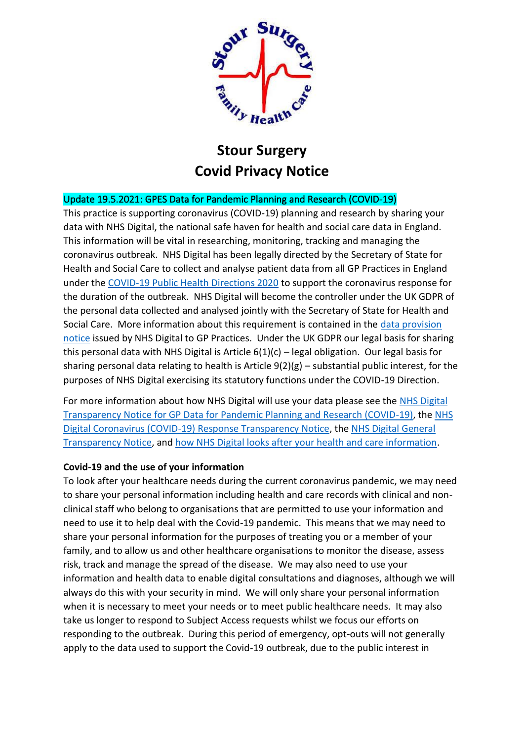

# **Stour Surgery Covid Privacy Notice**

## Update 19.5.2021: GPES Data for Pandemic Planning and Research (COVID-19)

This practice is supporting coronavirus (COVID-19) planning and research by sharing your data with NHS Digital, the national safe haven for health and social care data in England. This information will be vital in researching, monitoring, tracking and managing the coronavirus outbreak. NHS Digital has been legally directed by the Secretary of State for Health and Social Care to collect and analyse patient data from all GP Practices in England under the [COVID-19 Public Health Directions 2020](https://digital.nhs.uk/about-nhs-digital/corporate-information-and-documents/directions-and-data-provision-notices/secretary-of-state-directions/covid-19-public-health-directions-2020) to support the coronavirus response for the duration of the outbreak. NHS Digital will become the controller under the UK GDPR of the personal data collected and analysed jointly with the Secretary of State for Health and Social Care. More information about this requirement is contained in the [data provision](https://digital.nhs.uk/about-nhs-digital/corporate-information-and-documents/directions-and-data-provision-notices/data-provision-notices-dpns/gpes-data-for-pandemic-planning-and-research)  [notice](https://digital.nhs.uk/about-nhs-digital/corporate-information-and-documents/directions-and-data-provision-notices/data-provision-notices-dpns/gpes-data-for-pandemic-planning-and-research) issued by NHS Digital to GP Practices. Under the UK GDPR our legal basis for sharing this personal data with NHS Digital is Article  $6(1)(c)$  – legal obligation. Our legal basis for sharing personal data relating to health is Article 9(2)(g) – substantial public interest, for the purposes of NHS Digital exercising its statutory functions under the COVID-19 Direction.

For more information about how NHS Digital will use your data please see the [NHS Digital](https://digital.nhs.uk/coronavirus/gpes-data-for-pandemic-planning-and-research/transparency-notice-gpes-data-for-pandemic-planning-and-research-covid-19)  [Transparency Notice for GP Data for Pandemic Planning and Research \(COVID-19\),](https://digital.nhs.uk/coronavirus/gpes-data-for-pandemic-planning-and-research/transparency-notice-gpes-data-for-pandemic-planning-and-research-covid-19) the [NHS](https://digital.nhs.uk/coronavirus/coronavirus-covid-19-response-information-governance-hub/coronavirus-covid-19-response-transparency-notice)  [Digital Coronavirus \(COVID-19\) Response Transparency Notice,](https://digital.nhs.uk/coronavirus/coronavirus-covid-19-response-information-governance-hub/coronavirus-covid-19-response-transparency-notice) the [NHS Digital General](https://digital.nhs.uk/about-nhs-digital/our-work/keeping-patient-data-safe/gdpr/gdpr-register)  [Transparency Notice,](https://digital.nhs.uk/about-nhs-digital/our-work/keeping-patient-data-safe/gdpr/gdpr-register) and [how NHS Digital looks after your health and care information.](https://digital.nhs.uk/about-nhs-digital/our-work/keeping-patient-data-safe/how-we-look-after-your-health-and-care-information)

### **Covid-19 and the use of your information**

To look after your healthcare needs during the current coronavirus pandemic, we may need to share your personal information including health and care records with clinical and nonclinical staff who belong to organisations that are permitted to use your information and need to use it to help deal with the Covid-19 pandemic. This means that we may need to share your personal information for the purposes of treating you or a member of your family, and to allow us and other healthcare organisations to monitor the disease, assess risk, track and manage the spread of the disease. We may also need to use your information and health data to enable digital consultations and diagnoses, although we will always do this with your security in mind. We will only share your personal information when it is necessary to meet your needs or to meet public healthcare needs. It may also take us longer to respond to Subject Access requests whilst we focus our efforts on responding to the outbreak. During this period of emergency, opt-outs will not generally apply to the data used to support the Covid-19 outbreak, due to the public interest in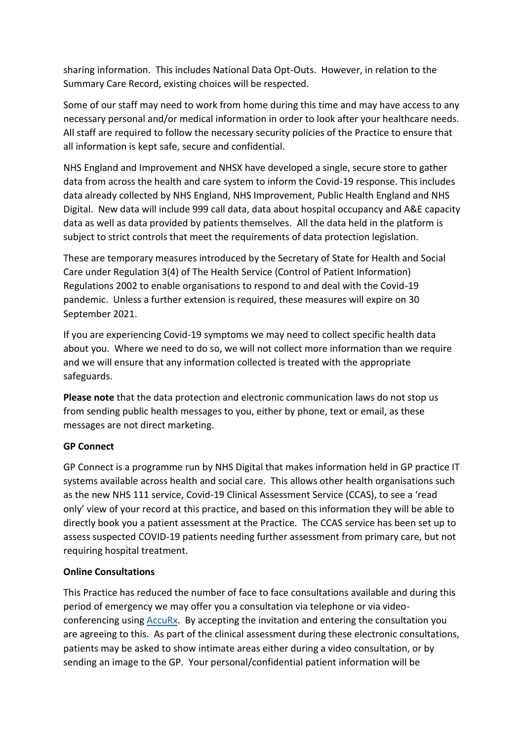sharing information. This includes National Data Opt-Outs. However, in relation to the Summary Care Record, existing choices will be respected.

Some of our staff may need to work from home during this time and may have access to any necessary personal and/or medical information in order to look after your healthcare needs. All staff are required to follow the necessary security policies of the Practice to ensure that all information is kept safe, secure and confidential.

NHS England and Improvement and NHSX have developed a single, secure store to gather data from across the health and care system to inform the Covid-19 response. This includes data already collected by NHS England, NHS Improvement, Public Health England and NHS Digital. New data will include 999 call data, data about hospital occupancy and A&E capacity data as well as data provided by patients themselves. All the data held in the platform is subject to strict controls that meet the requirements of data protection legislation.

These are temporary measures introduced by the Secretary of State for Health and Social Care under Regulation 3(4) of The Health Service (Control of Patient Information) Regulations 2002 to enable organisations to respond to and deal with the Covid-19 pandemic. Unless a further extension is required, these measures will expire on 30 September 2021.

If you are experiencing Covid-19 symptoms we may need to collect specific health data about you. Where we need to do so, we will not collect more information than we require and we will ensure that any information collected is treated with the appropriate safeguards.

**Please note** that the data protection and electronic communication laws do not stop us from sending public health messages to you, either by phone, text or email, as these messages are not direct marketing.

### **GP Connect**

GP Connect is a programme run by NHS Digital that makes information held in GP practice IT systems available across health and social care. This allows other health organisations such as the new NHS 111 service, Covid-19 Clinical Assessment Service (CCAS), to see a 'read only' view of your record at this practice, and based on this information they will be able to directly book you a patient assessment at the Practice. The CCAS service has been set up to assess suspected COVID-19 patients needing further assessment from primary care, but not requiring hospital treatment.

### **Online Consultations**

This Practice has reduced the number of face to face consultations available and during this period of emergency we may offer you a consultation via telephone or via videoconferencing usin[g AccuRx.](https://www.accurx.com/data-security-and-privacy) By accepting the invitation and entering the consultation you are agreeing to this. As part of the clinical assessment during these electronic consultations, patients may be asked to show intimate areas either during a video consultation, or by sending an image to the GP. Your personal/confidential patient information will be